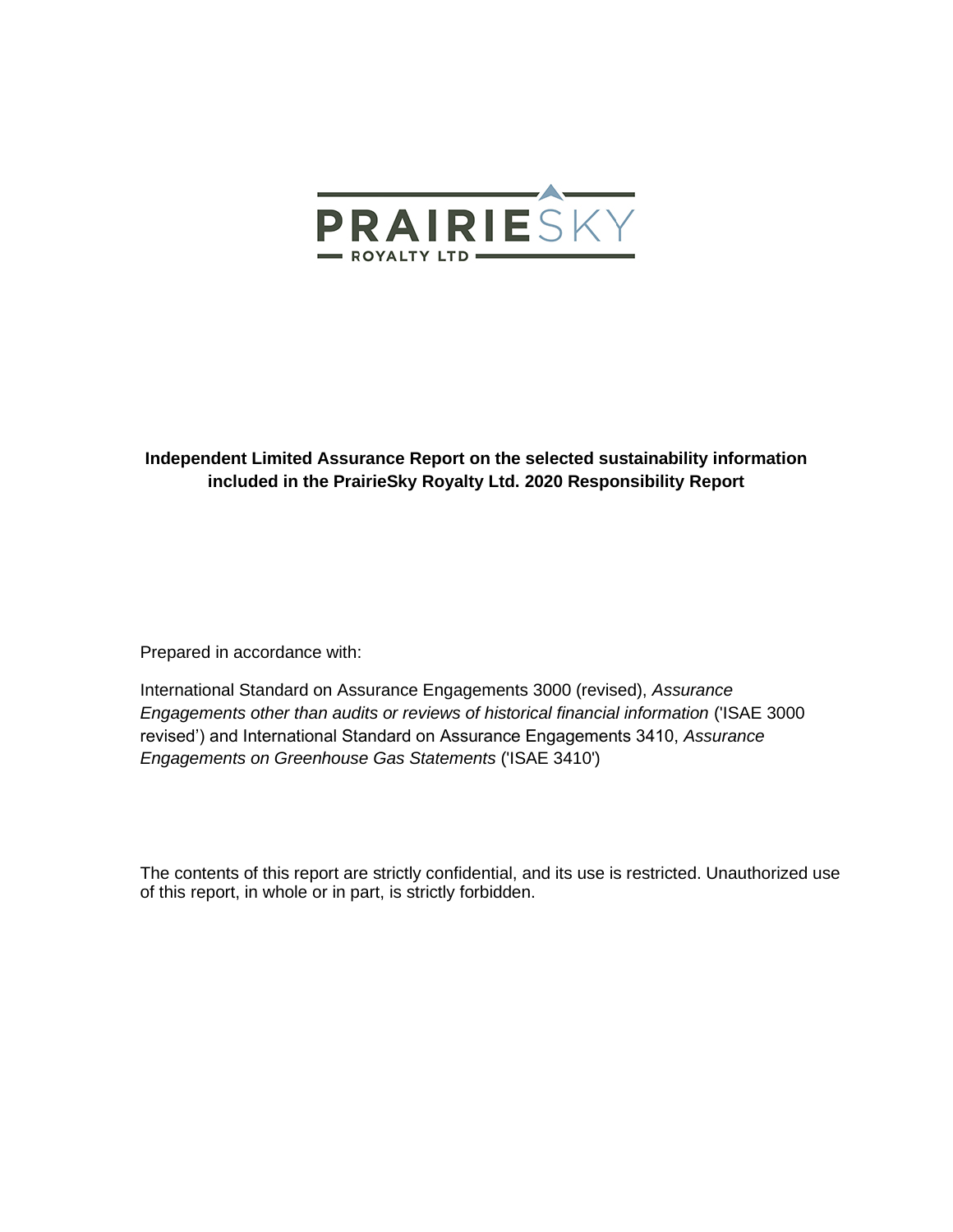

# **Independent Limited Assurance Report on the selected sustainability information included in the PrairieSky Royalty Ltd. 2020 Responsibility Report**

Prepared in accordance with:

International Standard on Assurance Engagements 3000 (revised), *Assurance Engagements other than audits or reviews of historical financial information* ('ISAE 3000 revised') and International Standard on Assurance Engagements 3410, *Assurance Engagements on Greenhouse Gas Statements* ('ISAE 3410')

The contents of this report are strictly confidential, and its use is restricted. Unauthorized use of this report, in whole or in part, is strictly forbidden.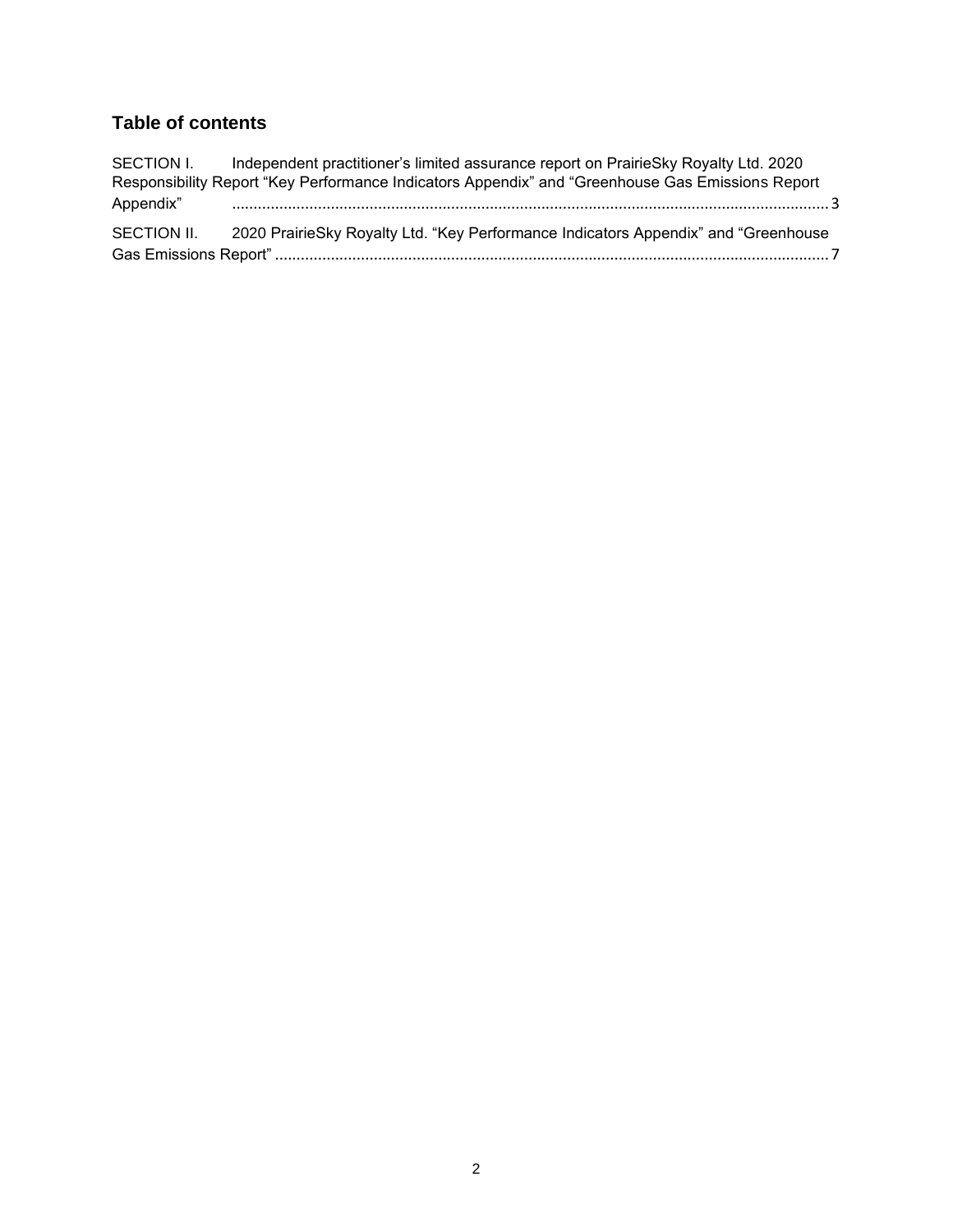# **Table of contents**

SECTION I. Independent practitioner's limited assurance report on PrairieSky Royalty Ltd. 2020 [Responsibility Report "Key Performance Indicators Appendix" and "Greenhouse Gas Emissions Report](#page-2-0)  Appendix" [...........................................................................................................................................3](#page-2-0) SECTION II. 2020 [PrairieSky Royalty Ltd. "Key Performance Indicators Appendix" and "Greenhouse](#page-6-0)  Gas Emissions Report" [.................................................................................................................................7](#page-6-0)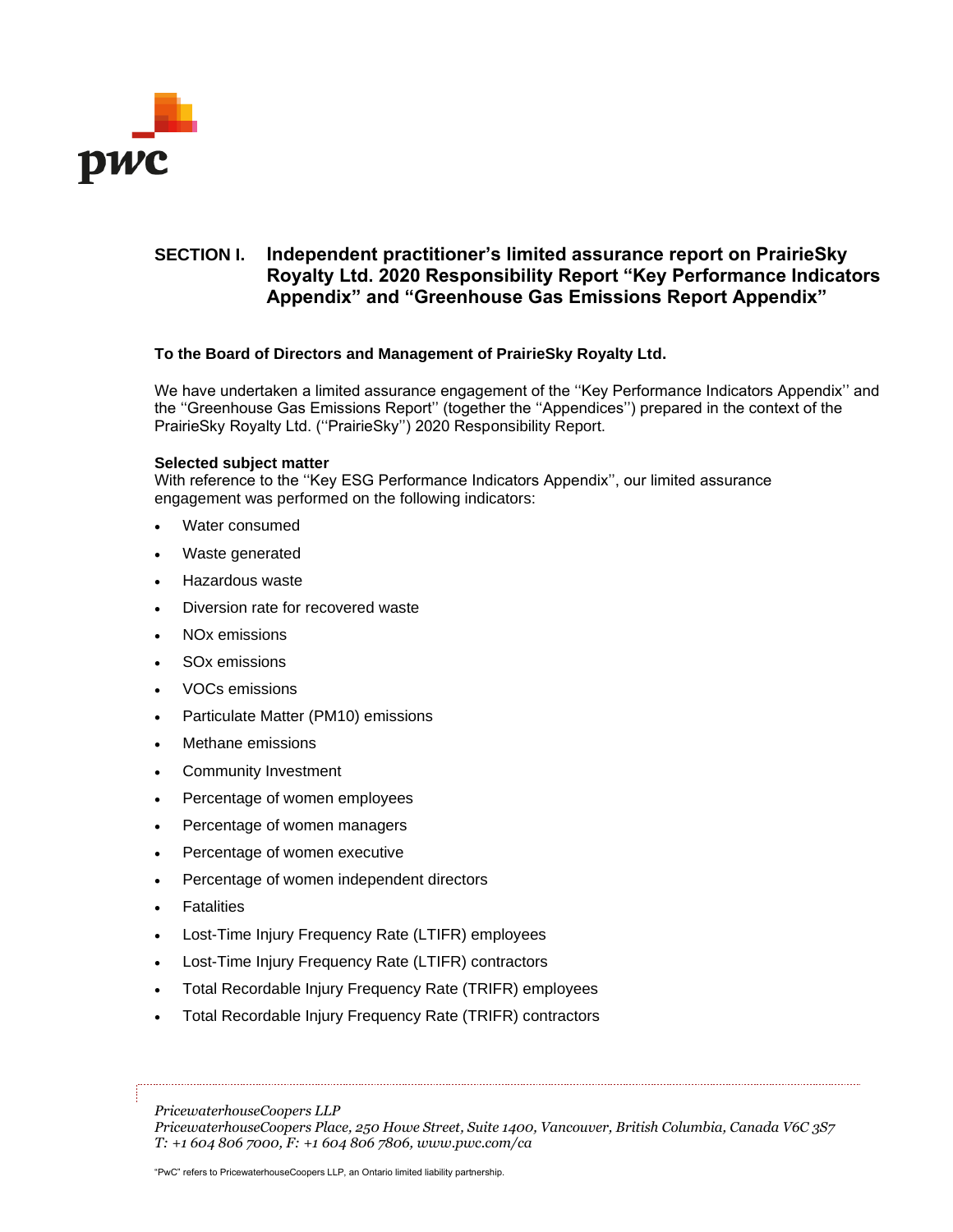

# <span id="page-2-0"></span>**SECTION I. Independent practitioner's limited assurance report on PrairieSky Royalty Ltd. 2020 Responsibility Report "Key Performance Indicators Appendix" and "Greenhouse Gas Emissions Report Appendix"**

# **To the Board of Directors and Management of PrairieSky Royalty Ltd.**

We have undertaken a limited assurance engagement of the "Key Performance Indicators Appendix" and the ''Greenhouse Gas Emissions Report'' (together the ''Appendices'') prepared in the context of the PrairieSky Royalty Ltd. (''PrairieSky'') 2020 Responsibility Report.

## **Selected subject matter**

With reference to the ''Key ESG Performance Indicators Appendix'', our limited assurance engagement was performed on the following indicators:

- Water consumed
- Waste generated
- Hazardous waste
- Diversion rate for recovered waste
- NO<sub>x</sub> emissions
- SO<sub>x</sub> emissions
- VOCs emissions
- Particulate Matter (PM10) emissions
- Methane emissions
- Community Investment
- Percentage of women employees
- Percentage of women managers
- Percentage of women executive
- Percentage of women independent directors
- **Fatalities**
- Lost-Time Injury Frequency Rate (LTIFR) employees
- Lost-Time Injury Frequency Rate (LTIFR) contractors
- Total Recordable Injury Frequency Rate (TRIFR) employees
- Total Recordable Injury Frequency Rate (TRIFR) contractors

*PricewaterhouseCoopers LLP*

*PricewaterhouseCoopers Place, 250 Howe Street, Suite 1400, Vancouver, British Columbia, Canada V6C 3S7 T: +1 604 806 7000, F: +1 604 806 7806, www.pwc.com/ca*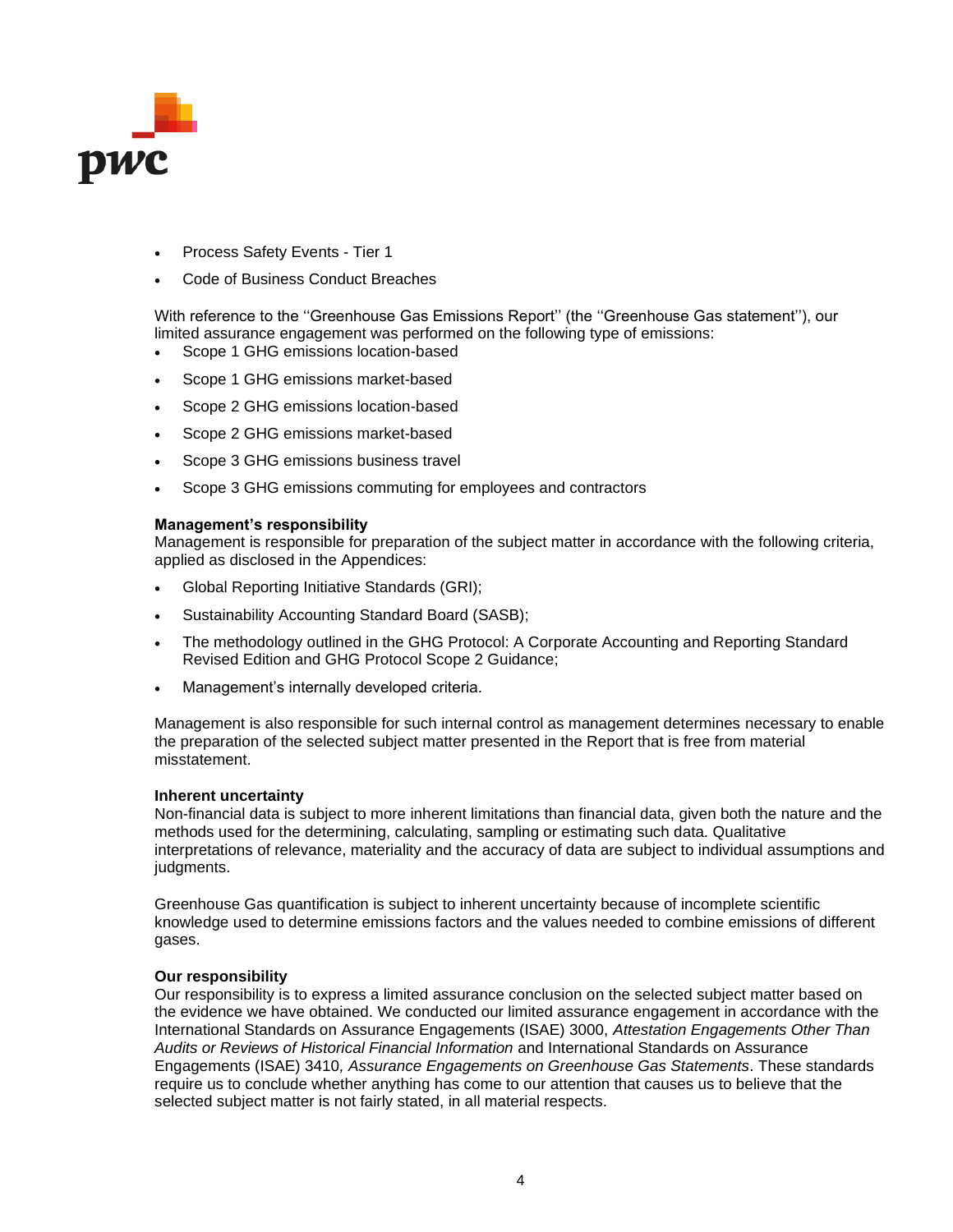

- Process Safety Events Tier 1
- Code of Business Conduct Breaches

With reference to the ''Greenhouse Gas Emissions Report'' (the ''Greenhouse Gas statement''), our limited assurance engagement was performed on the following type of emissions:

- Scope 1 GHG emissions location-based
- Scope 1 GHG emissions market-based
- Scope 2 GHG emissions location-based
- Scope 2 GHG emissions market-based
- Scope 3 GHG emissions business travel
- Scope 3 GHG emissions commuting for employees and contractors

## **Management's responsibility**

Management is responsible for preparation of the subject matter in accordance with the following criteria, applied as disclosed in the Appendices:

- Global Reporting Initiative Standards (GRI);
- Sustainability Accounting Standard Board (SASB);
- The methodology outlined in the GHG Protocol: A Corporate Accounting and Reporting Standard Revised Edition and GHG Protocol Scope 2 Guidance;
- Management's internally developed criteria.

Management is also responsible for such internal control as management determines necessary to enable the preparation of the selected subject matter presented in the Report that is free from material misstatement.

### **Inherent uncertainty**

Non-financial data is subject to more inherent limitations than financial data, given both the nature and the methods used for the determining, calculating, sampling or estimating such data. Qualitative interpretations of relevance, materiality and the accuracy of data are subject to individual assumptions and judgments.

Greenhouse Gas quantification is subject to inherent uncertainty because of incomplete scientific knowledge used to determine emissions factors and the values needed to combine emissions of different gases.

## **Our responsibility**

Our responsibility is to express a limited assurance conclusion on the selected subject matter based on the evidence we have obtained. We conducted our limited assurance engagement in accordance with the International Standards on Assurance Engagements (ISAE) 3000, *Attestation Engagements Other Than Audits or Reviews of Historical Financial Information* and International Standards on Assurance Engagements (ISAE) 3410*, Assurance Engagements on Greenhouse Gas Statements*. These standards require us to conclude whether anything has come to our attention that causes us to believe that the selected subject matter is not fairly stated, in all material respects.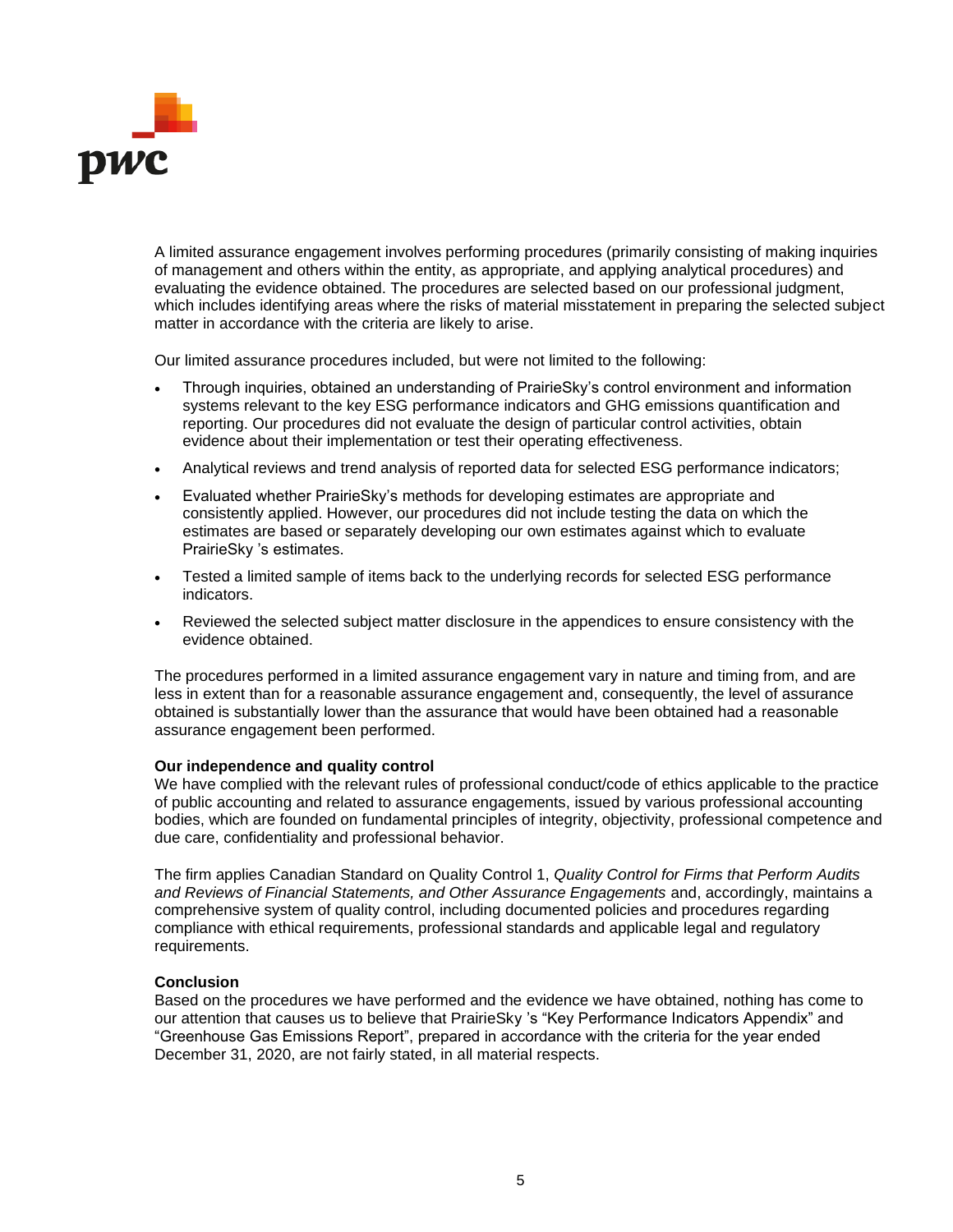

A limited assurance engagement involves performing procedures (primarily consisting of making inquiries of management and others within the entity, as appropriate, and applying analytical procedures) and evaluating the evidence obtained. The procedures are selected based on our professional judgment, which includes identifying areas where the risks of material misstatement in preparing the selected subject matter in accordance with the criteria are likely to arise.

Our limited assurance procedures included, but were not limited to the following:

- Through inquiries, obtained an understanding of PrairieSky's control environment and information systems relevant to the key ESG performance indicators and GHG emissions quantification and reporting. Our procedures did not evaluate the design of particular control activities, obtain evidence about their implementation or test their operating effectiveness.
- Analytical reviews and trend analysis of reported data for selected ESG performance indicators;
- Evaluated whether PrairieSky's methods for developing estimates are appropriate and consistently applied. However, our procedures did not include testing the data on which the estimates are based or separately developing our own estimates against which to evaluate PrairieSky 's estimates.
- Tested a limited sample of items back to the underlying records for selected ESG performance indicators.
- Reviewed the selected subject matter disclosure in the appendices to ensure consistency with the evidence obtained.

The procedures performed in a limited assurance engagement vary in nature and timing from, and are less in extent than for a reasonable assurance engagement and, consequently, the level of assurance obtained is substantially lower than the assurance that would have been obtained had a reasonable assurance engagement been performed.

### **Our independence and quality control**

We have complied with the relevant rules of professional conduct/code of ethics applicable to the practice of public accounting and related to assurance engagements, issued by various professional accounting bodies, which are founded on fundamental principles of integrity, objectivity, professional competence and due care, confidentiality and professional behavior.

The firm applies Canadian Standard on Quality Control 1, *Quality Control for Firms that Perform Audits and Reviews of Financial Statements, and Other Assurance Engagements* and, accordingly, maintains a comprehensive system of quality control, including documented policies and procedures regarding compliance with ethical requirements, professional standards and applicable legal and regulatory requirements.

### **Conclusion**

Based on the procedures we have performed and the evidence we have obtained, nothing has come to our attention that causes us to believe that PrairieSky 's "Key Performance Indicators Appendix" and "Greenhouse Gas Emissions Report", prepared in accordance with the criteria for the year ended December 31, 2020, are not fairly stated, in all material respects.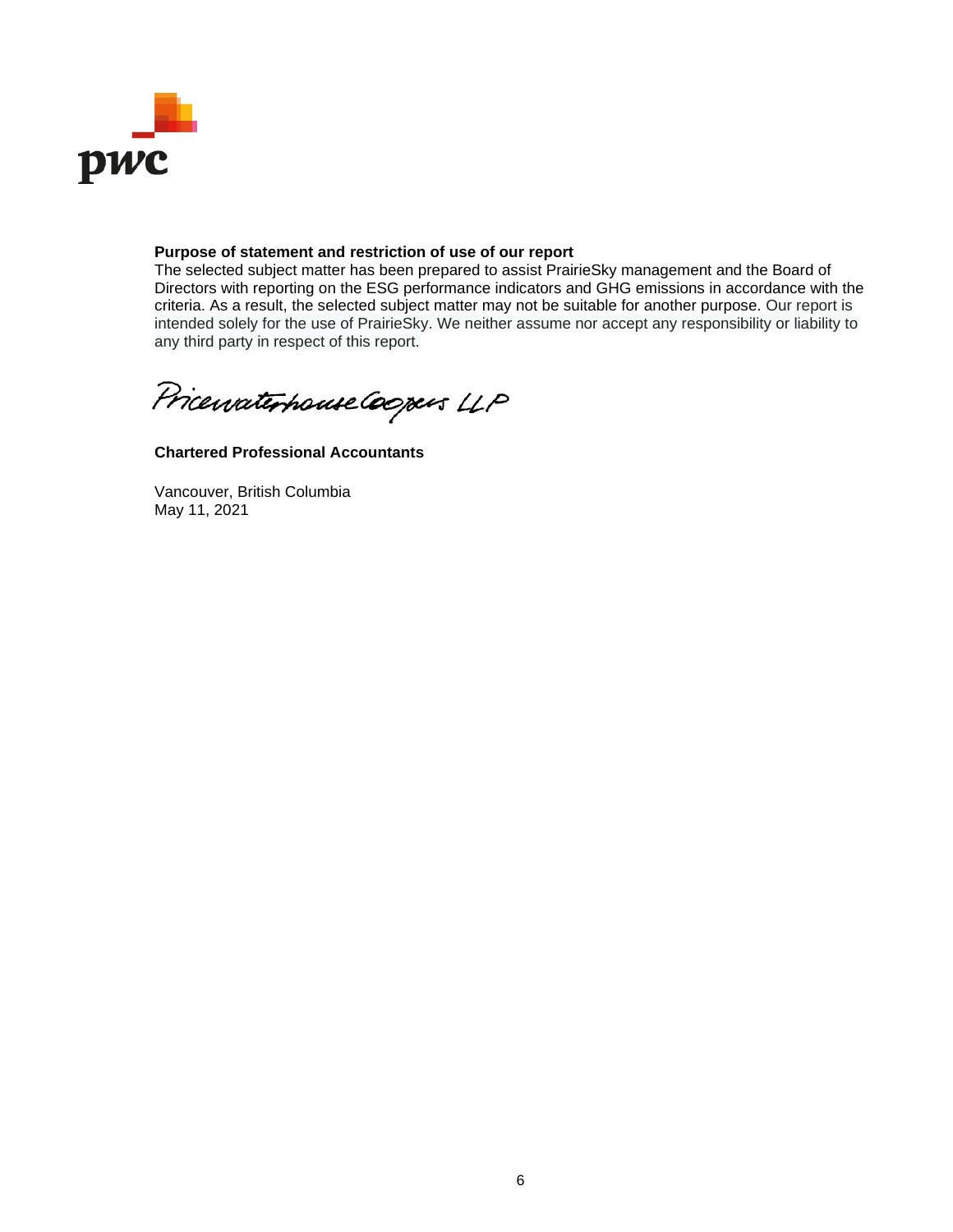

# **Purpose of statement and restriction of use of our report**

The selected subject matter has been prepared to assist PrairieSky management and the Board of Directors with reporting on the ESG performance indicators and GHG emissions in accordance with the criteria. As a result, the selected subject matter may not be suitable for another purpose. Our report is intended solely for the use of PrairieSky. We neither assume nor accept any responsibility or liability to any third party in respect of this report.

Pricewaterhouse Coopers LLP

**Chartered Professional Accountants**

Vancouver, British Columbia May 11, 2021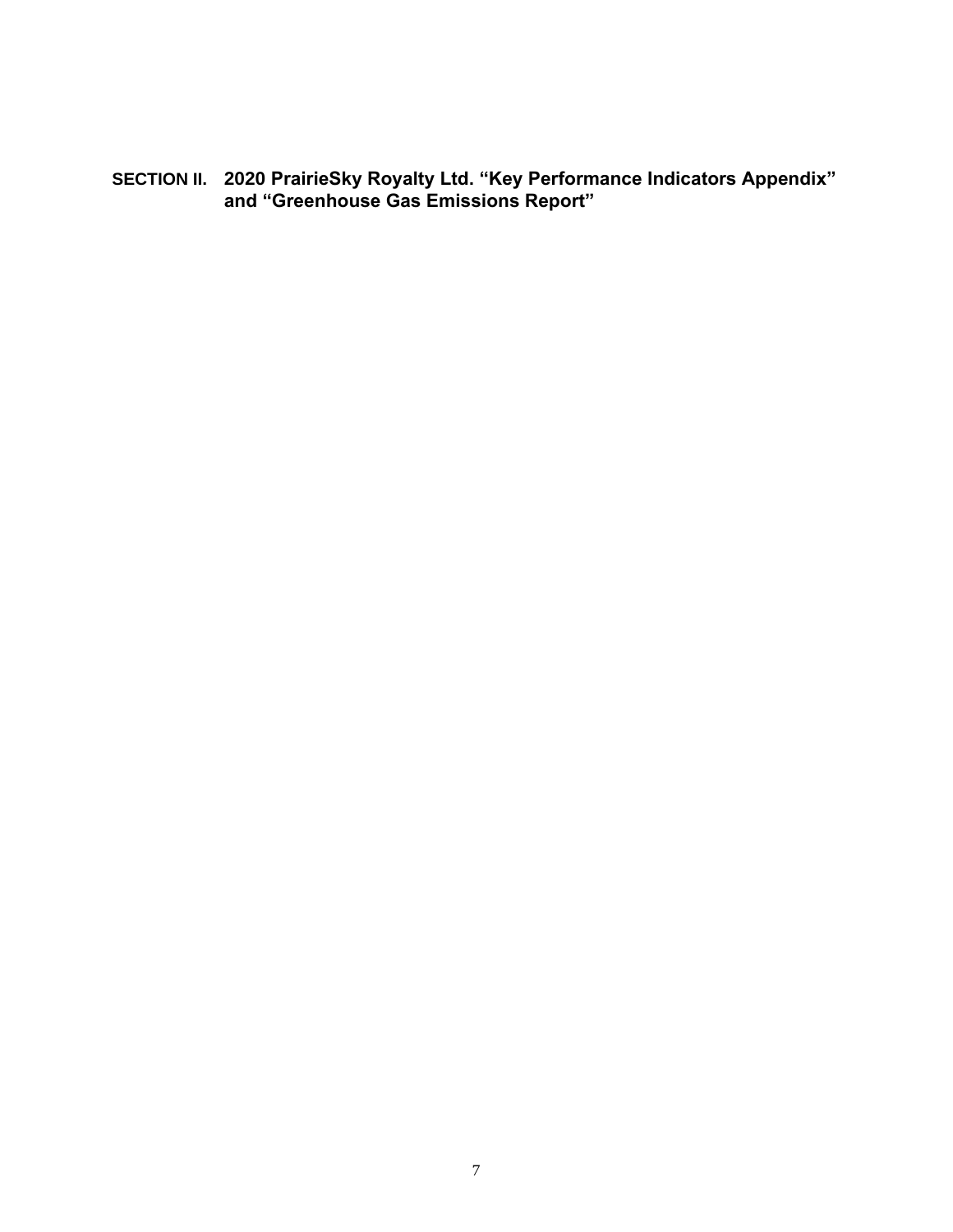<span id="page-6-0"></span>**SECTION II. 2020 PrairieSky Royalty Ltd. "Key Performance Indicators Appendix" and "Greenhouse Gas Emissions Report"**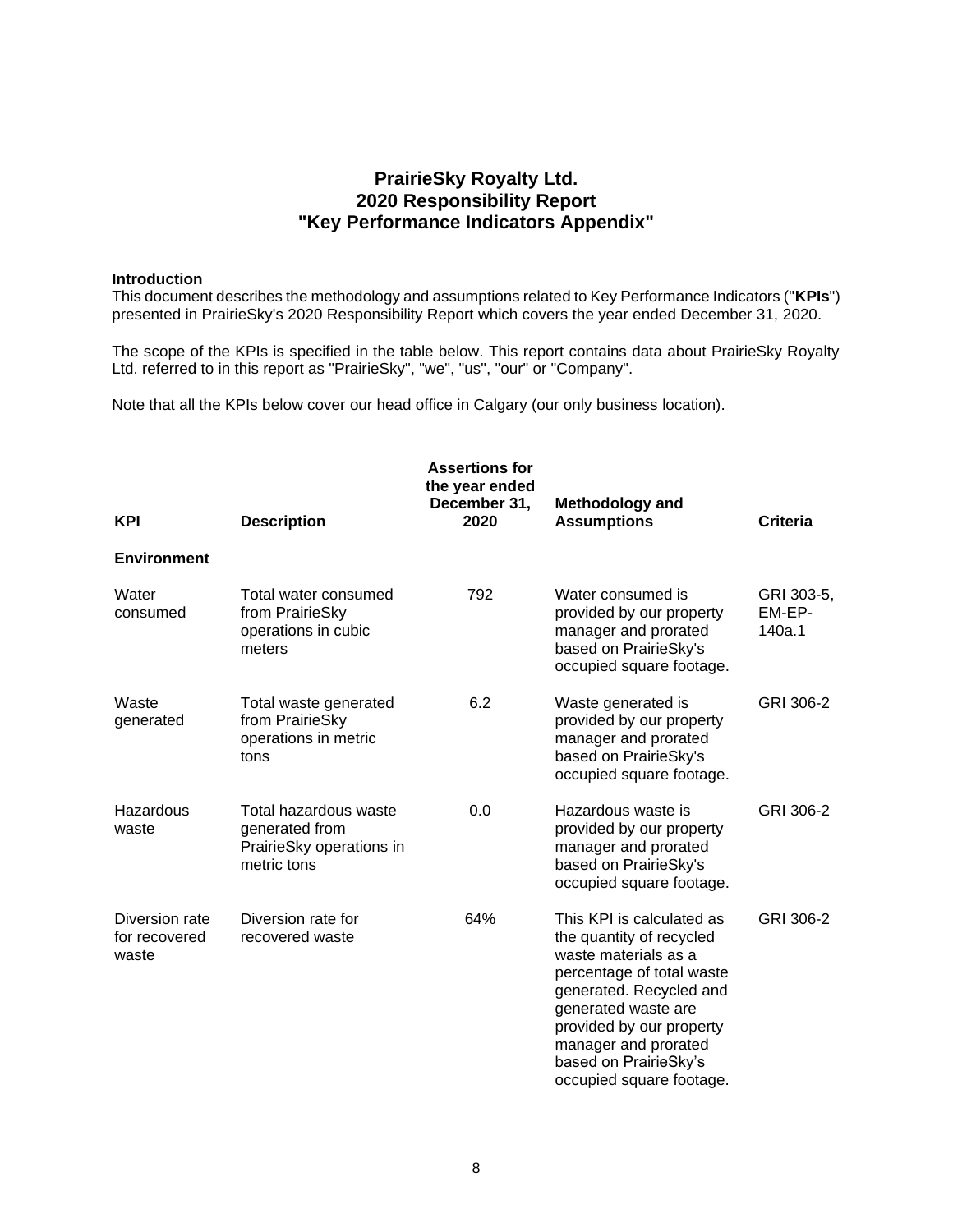# **PrairieSky Royalty Ltd. 2020 Responsibility Report "Key Performance Indicators Appendix"**

### **Introduction**

This document describes the methodology and assumptions related to Key Performance Indicators ("**KPIs**") presented in PrairieSky's 2020 Responsibility Report which covers the year ended December 31, 2020.

The scope of the KPIs is specified in the table below. This report contains data about PrairieSky Royalty Ltd. referred to in this report as "PrairieSky", "we", "us", "our" or "Company".

Note that all the KPIs below cover our head office in Calgary (our only business location).

| <b>KPI</b>                               | <b>Description</b>                                                                 | <b>Assertions for</b><br>the year ended<br>December 31,<br>2020 | <b>Methodology and</b><br><b>Assumptions</b>                                                                                                                                                                                                                          | <b>Criteria</b>                |
|------------------------------------------|------------------------------------------------------------------------------------|-----------------------------------------------------------------|-----------------------------------------------------------------------------------------------------------------------------------------------------------------------------------------------------------------------------------------------------------------------|--------------------------------|
| <b>Environment</b>                       |                                                                                    |                                                                 |                                                                                                                                                                                                                                                                       |                                |
| Water<br>consumed                        | Total water consumed<br>from PrairieSky<br>operations in cubic<br>meters           | 792                                                             | Water consumed is<br>provided by our property<br>manager and prorated<br>based on PrairieSky's<br>occupied square footage.                                                                                                                                            | GRI 303-5,<br>EM-EP-<br>140a.1 |
| Waste<br>generated                       | Total waste generated<br>from PrairieSky<br>operations in metric<br>tons           | 6.2                                                             | Waste generated is<br>provided by our property<br>manager and prorated<br>based on PrairieSky's<br>occupied square footage.                                                                                                                                           | GRI 306-2                      |
| Hazardous<br>waste                       | Total hazardous waste<br>generated from<br>PrairieSky operations in<br>metric tons | 0.0                                                             | Hazardous waste is<br>provided by our property<br>manager and prorated<br>based on PrairieSky's<br>occupied square footage.                                                                                                                                           | GRI 306-2                      |
| Diversion rate<br>for recovered<br>waste | Diversion rate for<br>recovered waste                                              | 64%                                                             | This KPI is calculated as<br>the quantity of recycled<br>waste materials as a<br>percentage of total waste<br>generated. Recycled and<br>generated waste are<br>provided by our property<br>manager and prorated<br>based on PrairieSky's<br>occupied square footage. | GRI 306-2                      |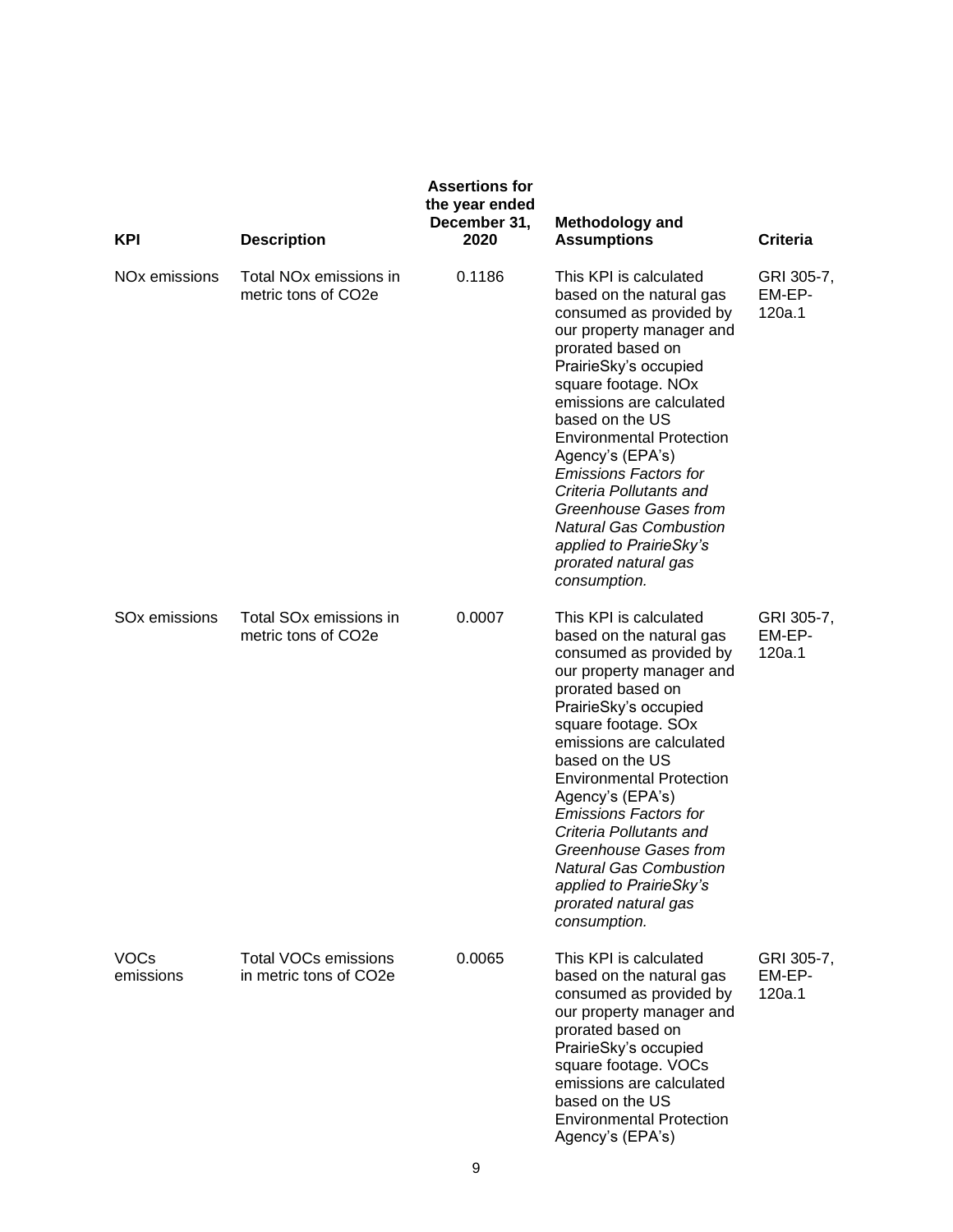| <b>KPI</b>                | <b>Description</b>                                        | <b>Assertions for</b><br>the year ended<br>December 31,<br>2020 | <b>Methodology and</b><br><b>Assumptions</b>                                                                                                                                                                                                                                                                                                                                                                                                                                 | <b>Criteria</b>                |
|---------------------------|-----------------------------------------------------------|-----------------------------------------------------------------|------------------------------------------------------------------------------------------------------------------------------------------------------------------------------------------------------------------------------------------------------------------------------------------------------------------------------------------------------------------------------------------------------------------------------------------------------------------------------|--------------------------------|
| NO <sub>x</sub> emissions | Total NO <sub>x</sub> emissions in<br>metric tons of CO2e | 0.1186                                                          | This KPI is calculated<br>based on the natural gas<br>consumed as provided by<br>our property manager and<br>prorated based on<br>PrairieSky's occupied<br>square footage. NOx<br>emissions are calculated<br>based on the US<br><b>Environmental Protection</b><br>Agency's (EPA's)<br><b>Emissions Factors for</b><br>Criteria Pollutants and<br>Greenhouse Gases from<br><b>Natural Gas Combustion</b><br>applied to PrairieSky's<br>prorated natural gas<br>consumption. | GRI 305-7,<br>EM-EP-<br>120a.1 |
| SO <sub>x</sub> emissions | Total SO <sub>x</sub> emissions in<br>metric tons of CO2e | 0.0007                                                          | This KPI is calculated<br>based on the natural gas<br>consumed as provided by<br>our property manager and<br>prorated based on<br>PrairieSky's occupied<br>square footage. SOx<br>emissions are calculated<br>based on the US<br><b>Environmental Protection</b><br>Agency's (EPA's)<br><b>Emissions Factors for</b><br>Criteria Pollutants and<br><b>Greenhouse Gases from</b><br>Natural Gas Combustion<br>applied to PrairieSky's<br>prorated natural gas<br>consumption. | GRI 305-7,<br>EM-EP-<br>120a.1 |
| <b>VOCs</b><br>emissions  | <b>Total VOCs emissions</b><br>in metric tons of CO2e     | 0.0065                                                          | This KPI is calculated<br>based on the natural gas<br>consumed as provided by<br>our property manager and<br>prorated based on<br>PrairieSky's occupied<br>square footage. VOCs<br>emissions are calculated<br>based on the US<br><b>Environmental Protection</b><br>Agency's (EPA's)                                                                                                                                                                                        | GRI 305-7,<br>EM-EP-<br>120a.1 |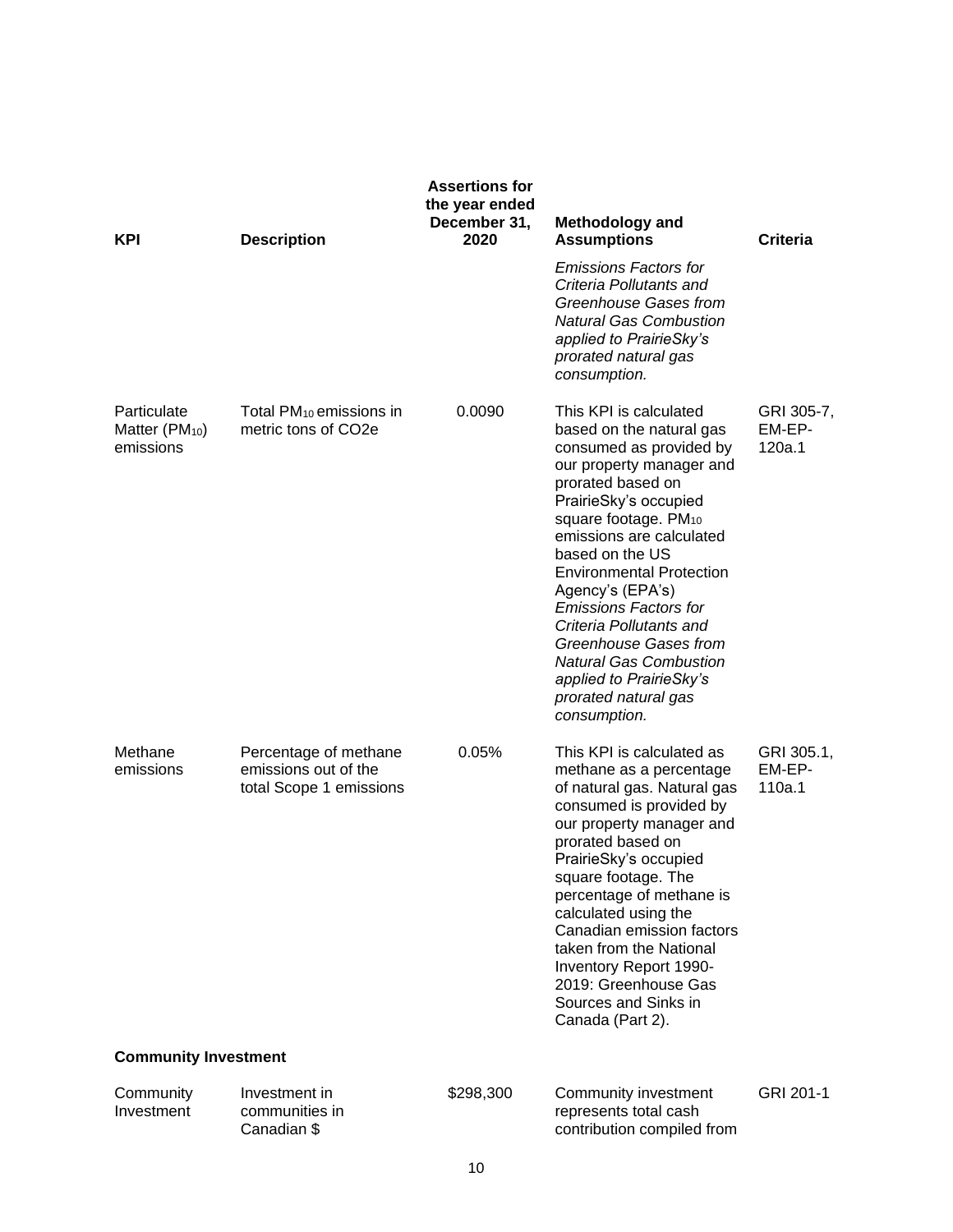| <b>KPI</b>                                             | <b>Description</b>                                                       | <b>Assertions for</b><br>the year ended<br>December 31,<br>2020 | <b>Methodology and</b><br><b>Assumptions</b><br><b>Emissions Factors for</b><br>Criteria Pollutants and<br>Greenhouse Gases from<br><b>Natural Gas Combustion</b><br>applied to PrairieSky's<br>prorated natural gas<br>consumption.                                                                                                                                                                                                                                                      | <b>Criteria</b>                |
|--------------------------------------------------------|--------------------------------------------------------------------------|-----------------------------------------------------------------|-------------------------------------------------------------------------------------------------------------------------------------------------------------------------------------------------------------------------------------------------------------------------------------------------------------------------------------------------------------------------------------------------------------------------------------------------------------------------------------------|--------------------------------|
| Particulate<br>Matter (PM <sub>10</sub> )<br>emissions | Total $PM_{10}$ emissions in<br>metric tons of CO2e                      | 0.0090                                                          | This KPI is calculated<br>based on the natural gas<br>consumed as provided by<br>our property manager and<br>prorated based on<br>PrairieSky's occupied<br>square footage. PM <sub>10</sub><br>emissions are calculated<br>based on the US<br><b>Environmental Protection</b><br>Agency's (EPA's)<br><b>Emissions Factors for</b><br>Criteria Pollutants and<br>Greenhouse Gases from<br><b>Natural Gas Combustion</b><br>applied to PrairieSky's<br>prorated natural gas<br>consumption. | GRI 305-7,<br>EM-EP-<br>120a.1 |
| Methane<br>emissions                                   | Percentage of methane<br>emissions out of the<br>total Scope 1 emissions | 0.05%                                                           | This KPI is calculated as<br>methane as a percentage<br>of natural gas. Natural gas<br>consumed is provided by<br>our property manager and<br>prorated based on<br>PrairieSky's occupied<br>square footage. The<br>percentage of methane is<br>calculated using the<br>Canadian emission factors<br>taken from the National<br>Inventory Report 1990-<br>2019: Greenhouse Gas<br>Sources and Sinks in<br>Canada (Part 2).                                                                 | GRI 305.1,<br>EM-EP-<br>110a.1 |
| <b>Community Investment</b>                            |                                                                          |                                                                 |                                                                                                                                                                                                                                                                                                                                                                                                                                                                                           |                                |
| Community<br>Investment                                | Investment in<br>communities in<br>Canadian \$                           | \$298,300                                                       | Community investment<br>represents total cash<br>contribution compiled from                                                                                                                                                                                                                                                                                                                                                                                                               | GRI 201-1                      |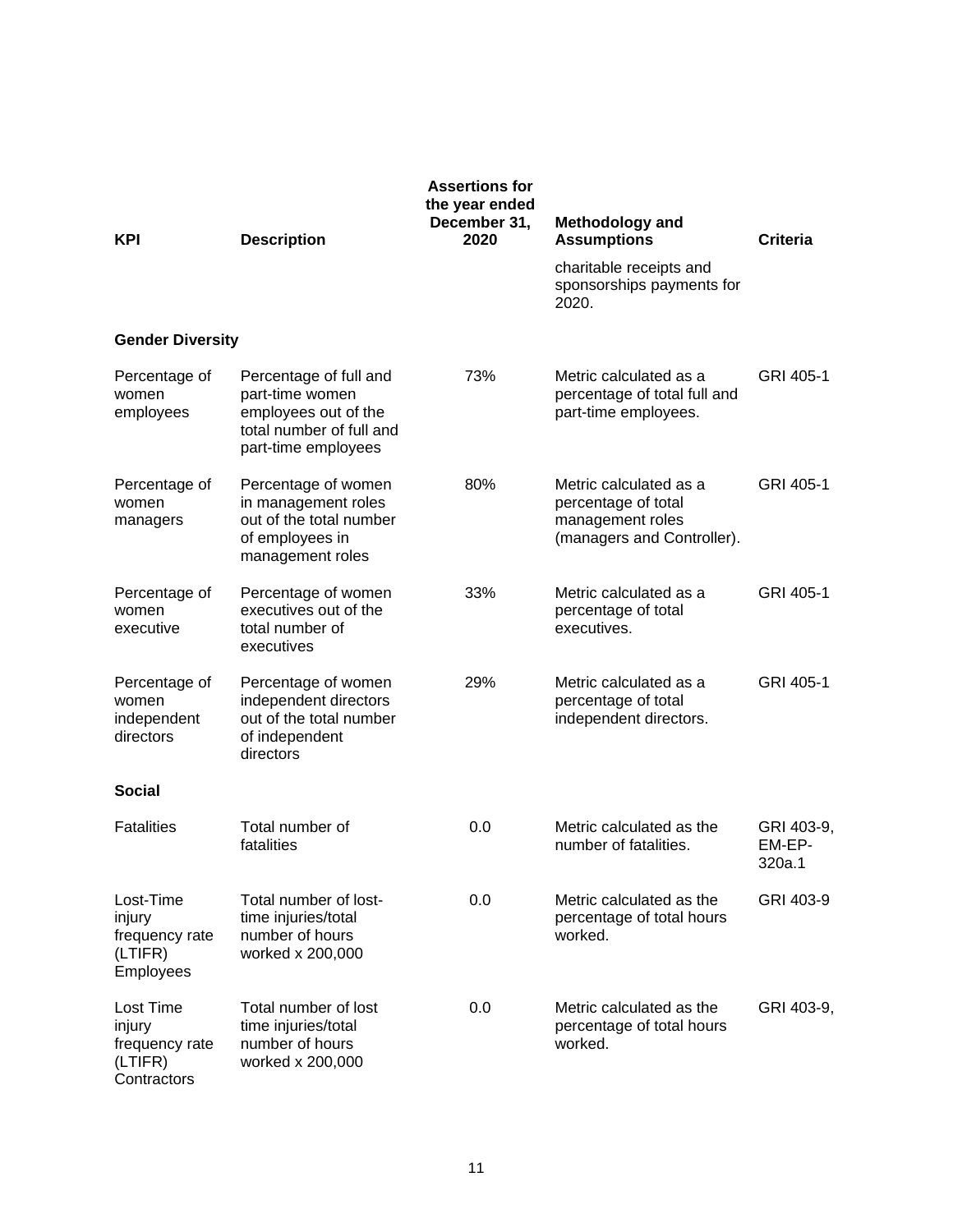| <b>KPI</b>                                                           | <b>Description</b>                                                                                                   | <b>Assertions for</b><br>the year ended<br>December 31,<br>2020 | <b>Methodology and</b><br><b>Assumptions</b>                                                    | <b>Criteria</b>                |
|----------------------------------------------------------------------|----------------------------------------------------------------------------------------------------------------------|-----------------------------------------------------------------|-------------------------------------------------------------------------------------------------|--------------------------------|
|                                                                      |                                                                                                                      |                                                                 | charitable receipts and<br>sponsorships payments for<br>2020.                                   |                                |
| <b>Gender Diversity</b>                                              |                                                                                                                      |                                                                 |                                                                                                 |                                |
| Percentage of<br>women<br>employees                                  | Percentage of full and<br>part-time women<br>employees out of the<br>total number of full and<br>part-time employees | 73%                                                             | Metric calculated as a<br>percentage of total full and<br>part-time employees.                  | GRI 405-1                      |
| Percentage of<br>women<br>managers                                   | Percentage of women<br>in management roles<br>out of the total number<br>of employees in<br>management roles         | 80%                                                             | Metric calculated as a<br>percentage of total<br>management roles<br>(managers and Controller). | GRI 405-1                      |
| Percentage of<br>women<br>executive                                  | Percentage of women<br>executives out of the<br>total number of<br>executives                                        | 33%                                                             | Metric calculated as a<br>percentage of total<br>executives.                                    | GRI 405-1                      |
| Percentage of<br>women<br>independent<br>directors                   | Percentage of women<br>independent directors<br>out of the total number<br>of independent<br>directors               | 29%                                                             | Metric calculated as a<br>percentage of total<br>independent directors.                         | GRI 405-1                      |
| <b>Social</b>                                                        |                                                                                                                      |                                                                 |                                                                                                 |                                |
| <b>Fatalities</b>                                                    | Total number of<br>fatalities                                                                                        | 0.0                                                             | Metric calculated as the<br>number of fatalities.                                               | GRI 403-9,<br>EM-EP-<br>320a.1 |
| Lost-Time<br>injury<br>frequency rate<br>(LTIFR)<br><b>Employees</b> | Total number of lost-<br>time injuries/total<br>number of hours<br>worked x 200,000                                  | 0.0                                                             | Metric calculated as the<br>percentage of total hours<br>worked.                                | GRI 403-9                      |
| Lost Time<br>injury<br>frequency rate<br>(LTIFR)<br>Contractors      | Total number of lost<br>time injuries/total<br>number of hours<br>worked x 200,000                                   | 0.0                                                             | Metric calculated as the<br>percentage of total hours<br>worked.                                | GRI 403-9,                     |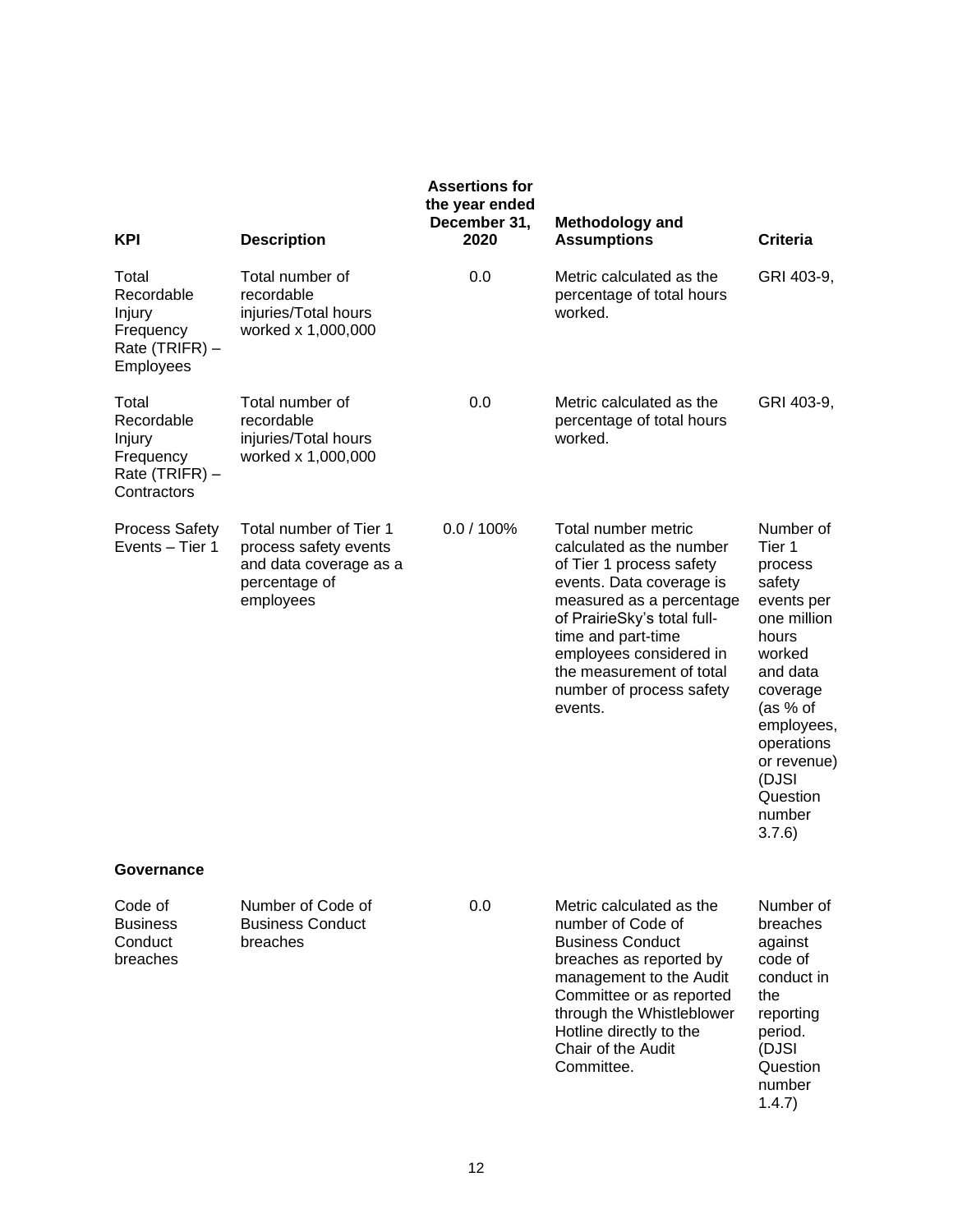| <b>KPI</b>                                                                  | <b>Description</b>                                                                                      | <b>Assertions for</b><br>the year ended<br>December 31,<br>2020 | <b>Methodology and</b><br><b>Assumptions</b>                                                                                                                                                                                                                                           | <b>Criteria</b>                                                                                                                                                                                                 |
|-----------------------------------------------------------------------------|---------------------------------------------------------------------------------------------------------|-----------------------------------------------------------------|----------------------------------------------------------------------------------------------------------------------------------------------------------------------------------------------------------------------------------------------------------------------------------------|-----------------------------------------------------------------------------------------------------------------------------------------------------------------------------------------------------------------|
| Total<br>Recordable<br>Injury<br>Frequency<br>Rate (TRIFR) -<br>Employees   | Total number of<br>recordable<br>injuries/Total hours<br>worked x 1,000,000                             | 0.0                                                             | Metric calculated as the<br>percentage of total hours<br>worked.                                                                                                                                                                                                                       | GRI 403-9,                                                                                                                                                                                                      |
| Total<br>Recordable<br>Injury<br>Frequency<br>Rate (TRIFR) -<br>Contractors | Total number of<br>recordable<br>injuries/Total hours<br>worked x 1,000,000                             | 0.0                                                             | Metric calculated as the<br>percentage of total hours<br>worked.                                                                                                                                                                                                                       | GRI 403-9,                                                                                                                                                                                                      |
| <b>Process Safety</b><br>Events - Tier 1                                    | Total number of Tier 1<br>process safety events<br>and data coverage as a<br>percentage of<br>employees | $0.0 / 100\%$                                                   | Total number metric<br>calculated as the number<br>of Tier 1 process safety<br>events. Data coverage is<br>measured as a percentage<br>of PrairieSky's total full-<br>time and part-time<br>employees considered in<br>the measurement of total<br>number of process safety<br>events. | Number of<br>Tier 1<br>process<br>safety<br>events per<br>one million<br>hours<br>worked<br>and data<br>coverage<br>(as % of<br>employees,<br>operations<br>or revenue)<br>(DJSI<br>Question<br>number<br>3.7.6 |
| Governance                                                                  |                                                                                                         |                                                                 |                                                                                                                                                                                                                                                                                        |                                                                                                                                                                                                                 |
| Code of<br><b>Business</b><br>Conduct<br>breaches                           | Number of Code of<br><b>Business Conduct</b><br>breaches                                                | 0.0                                                             | Metric calculated as the<br>number of Code of<br><b>Business Conduct</b><br>breaches as reported by<br>management to the Audit<br>Committee or as reported<br>through the Whistleblower<br>Hotline directly to the<br>Chair of the Audit<br>Committee.                                 | Number of<br>breaches<br>against<br>code of<br>conduct in<br>the<br>reporting<br>period.<br>(DJSI<br>Question<br>number<br>1.4.7)                                                                               |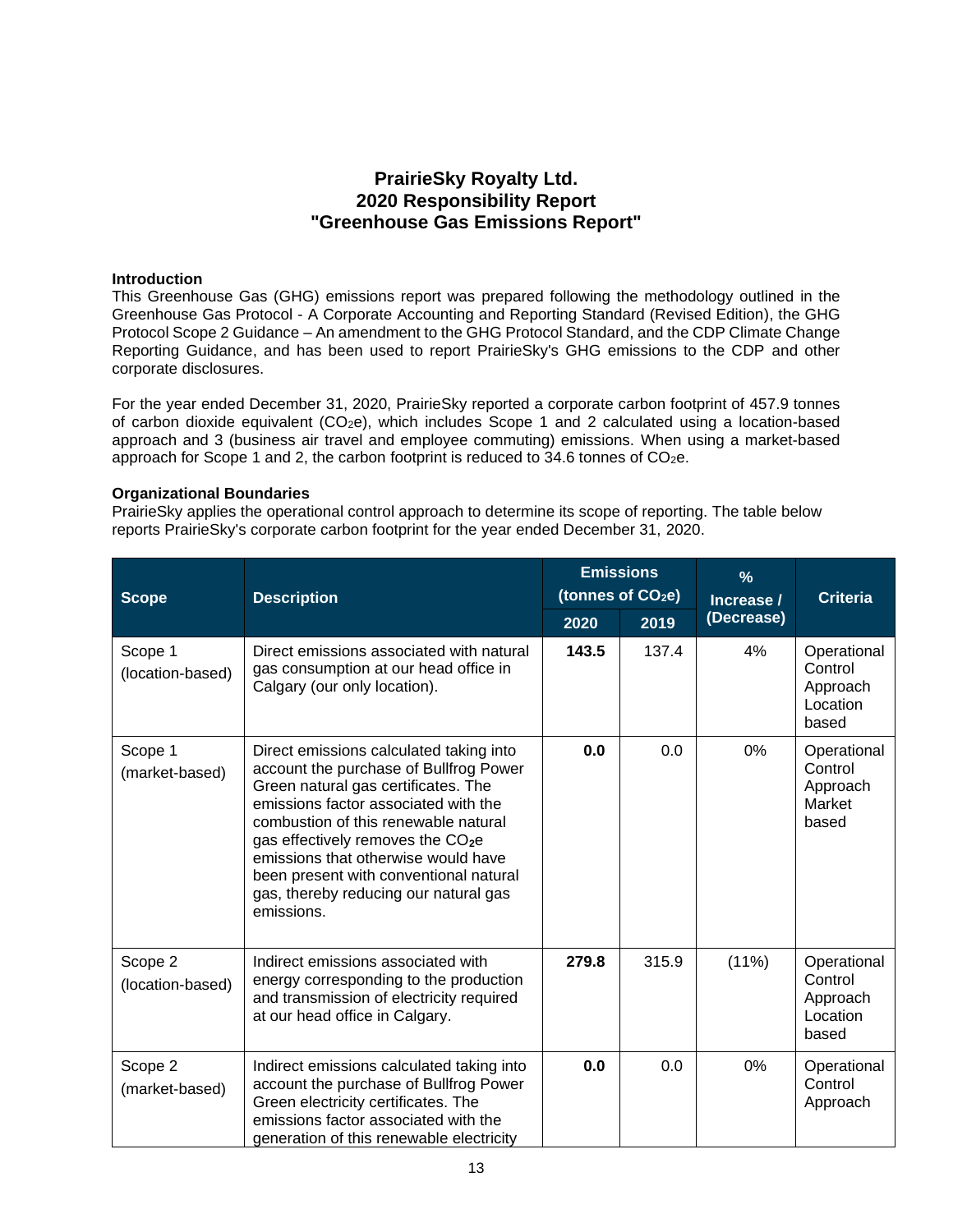# **PrairieSky Royalty Ltd. 2020 Responsibility Report "Greenhouse Gas Emissions Report"**

## **Introduction**

This Greenhouse Gas (GHG) emissions report was prepared following the methodology outlined in the Greenhouse Gas Protocol - A Corporate Accounting and Reporting Standard (Revised Edition), the GHG Protocol Scope 2 Guidance – An amendment to the GHG Protocol Standard, and the CDP Climate Change Reporting Guidance, and has been used to report PrairieSky's GHG emissions to the CDP and other corporate disclosures.

For the year ended December 31, 2020, PrairieSky reported a corporate carbon footprint of 457.9 tonnes of carbon dioxide equivalent  $(CO_2e)$ , which includes Scope 1 and 2 calculated using a location-based approach and 3 (business air travel and employee commuting) emissions. When using a market-based approach for Scope 1 and 2, the carbon footprint is reduced to 34.6 tonnes of CO2e.

## **Organizational Boundaries**

PrairieSky applies the operational control approach to determine its scope of reporting. The table below reports PrairieSky's corporate carbon footprint for the year ended December 31, 2020.

| <b>Scope</b>                | <b>Description</b>                                                                                                                                                                                                                                                                                                                                                                                | <b>Emissions</b><br>(tonnes of CO <sub>2</sub> e) |       | $\frac{9}{6}$<br>Increase / | <b>Criteria</b>                                         |
|-----------------------------|---------------------------------------------------------------------------------------------------------------------------------------------------------------------------------------------------------------------------------------------------------------------------------------------------------------------------------------------------------------------------------------------------|---------------------------------------------------|-------|-----------------------------|---------------------------------------------------------|
|                             |                                                                                                                                                                                                                                                                                                                                                                                                   | 2020                                              | 2019  | (Decrease)                  |                                                         |
| Scope 1<br>(location-based) | Direct emissions associated with natural<br>gas consumption at our head office in<br>Calgary (our only location).                                                                                                                                                                                                                                                                                 | 143.5                                             | 137.4 | 4%                          | Operational<br>Control<br>Approach<br>Location<br>based |
| Scope 1<br>(market-based)   | Direct emissions calculated taking into<br>account the purchase of Bullfrog Power<br>Green natural gas certificates. The<br>emissions factor associated with the<br>combustion of this renewable natural<br>gas effectively removes the CO <sub>2</sub> e<br>emissions that otherwise would have<br>been present with conventional natural<br>gas, thereby reducing our natural gas<br>emissions. | 0.0                                               | 0.0   | 0%                          | Operational<br>Control<br>Approach<br>Market<br>based   |
| Scope 2<br>(location-based) | Indirect emissions associated with<br>energy corresponding to the production<br>and transmission of electricity required<br>at our head office in Calgary.                                                                                                                                                                                                                                        | 279.8                                             | 315.9 | (11%)                       | Operational<br>Control<br>Approach<br>Location<br>based |
| Scope 2<br>(market-based)   | Indirect emissions calculated taking into<br>account the purchase of Bullfrog Power<br>Green electricity certificates. The<br>emissions factor associated with the<br>generation of this renewable electricity                                                                                                                                                                                    | 0.0                                               | 0.0   | 0%                          | Operational<br>Control<br>Approach                      |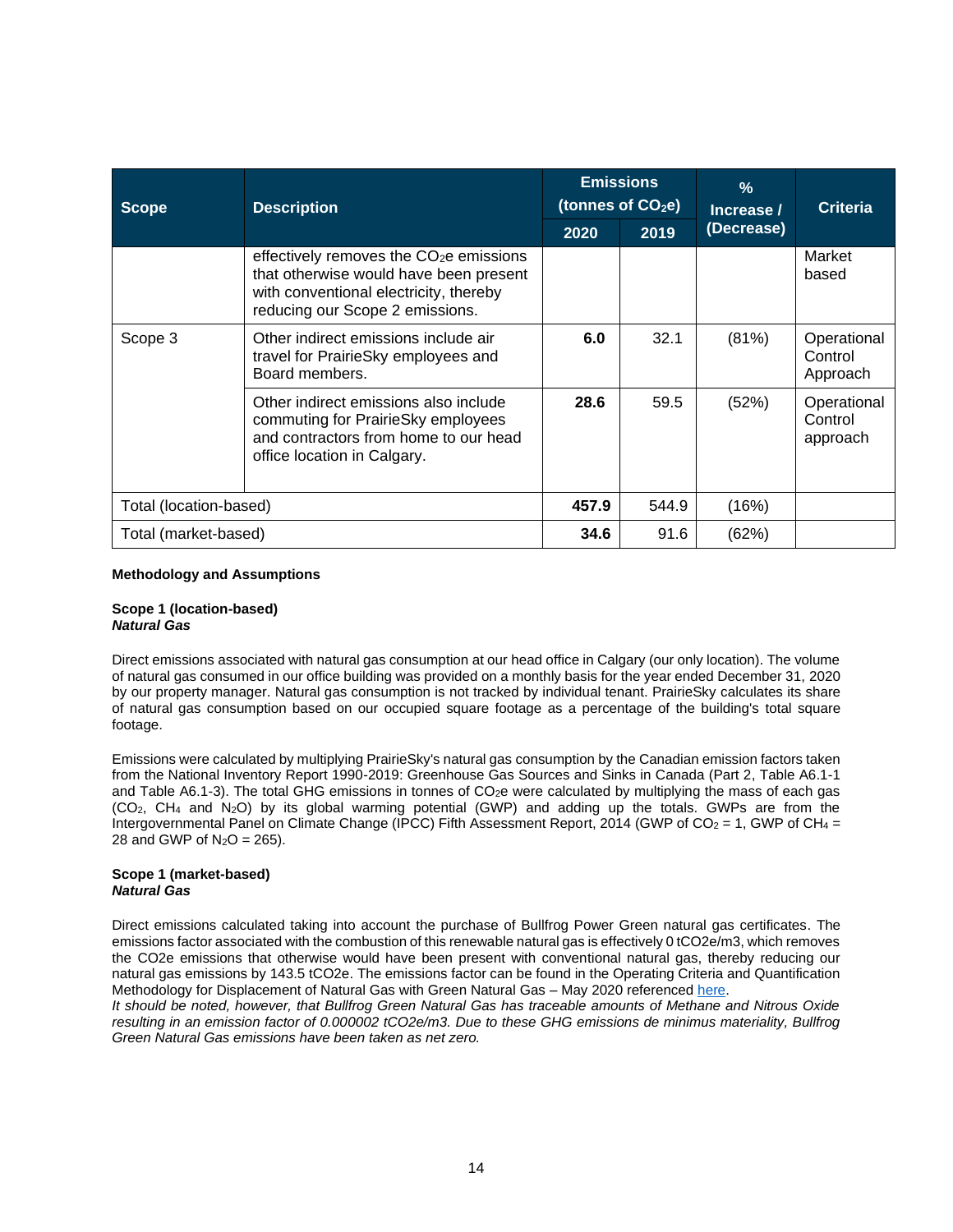| <b>Scope</b>           | <b>Description</b>                                                                                                                                                         | <b>Emissions</b><br>(tonnes of $CO2e$ ) |       | $\frac{9}{6}$<br>Increase / | <b>Criteria</b>                    |
|------------------------|----------------------------------------------------------------------------------------------------------------------------------------------------------------------------|-----------------------------------------|-------|-----------------------------|------------------------------------|
|                        |                                                                                                                                                                            | 2020                                    | 2019  | (Decrease)                  |                                    |
|                        | effectively removes the CO <sub>2</sub> e emissions<br>that otherwise would have been present<br>with conventional electricity, thereby<br>reducing our Scope 2 emissions. |                                         |       |                             | Market<br>based                    |
| Scope 3                | Other indirect emissions include air<br>travel for PrairieSky employees and<br>Board members.                                                                              | 6.0                                     | 32.1  | (81%)                       | Operational<br>Control<br>Approach |
|                        | Other indirect emissions also include<br>commuting for PrairieSky employees<br>and contractors from home to our head<br>office location in Calgary.                        | 28.6                                    | 59.5  | (52%)                       | Operational<br>Control<br>approach |
| Total (location-based) |                                                                                                                                                                            | 457.9                                   | 544.9 | (16%)                       |                                    |
| Total (market-based)   |                                                                                                                                                                            | 34.6                                    | 91.6  | (62%)                       |                                    |

### **Methodology and Assumptions**

#### **Scope 1 (location-based)** *Natural Gas*

Direct emissions associated with natural gas consumption at our head office in Calgary (our only location). The volume of natural gas consumed in our office building was provided on a monthly basis for the year ended December 31, 2020 by our property manager. Natural gas consumption is not tracked by individual tenant. PrairieSky calculates its share of natural gas consumption based on our occupied square footage as a percentage of the building's total square footage.

Emissions were calculated by multiplying PrairieSky's natural gas consumption by the Canadian emission factors taken from the National Inventory Report 1990-2019: Greenhouse Gas Sources and Sinks in Canada (Part 2, Table A6.1-1 and Table A6.1-3). The total GHG emissions in tonnes of  $CO<sub>2</sub>e$  were calculated by multiplying the mass of each gas  $(CO<sub>2</sub>, CH<sub>4</sub>$  and  $N<sub>2</sub>O$ ) by its global warming potential  $(GWP)$  and adding up the totals. GWPs are from the Intergovernmental Panel on Climate Change (IPCC) Fifth Assessment Report, 2014 (GWP of CO<sub>2</sub> = 1, GWP of CH<sub>4</sub> = 28 and GWP of  $N_2O = 265$ ).

#### **Scope 1 (market-based)** *Natural Gas*

Direct emissions calculated taking into account the purchase of Bullfrog Power Green natural gas certificates. The emissions factor associated with the combustion of this renewable natural gas is effectively 0 tCO2e/m3, which removes the CO2e emissions that otherwise would have been present with conventional natural gas, thereby reducing our natural gas emissions by 143.5 tCO2e. The emissions factor can be found in the Operating Criteria and Quantification Methodology for Displacement of Natural Gas with Green Natural Gas – May 2020 referenced [here.](https://www.bullfrogpower.com/wp-content/uploads/2020/09/GNG-Methodology-Document-2020.pdf)

*It should be noted, however, that Bullfrog Green Natural Gas has traceable amounts of Methane and Nitrous Oxide resulting in an emission factor of 0.000002 tCO2e/m3. Due to these GHG emissions de minimus materiality, Bullfrog Green Natural Gas emissions have been taken as net zero.*